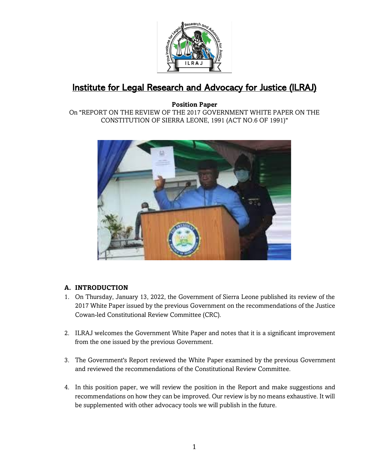

# Institute for Legal Research and Advocacy for Justice (ILRAJ)

**Position Paper** On "REPORT ON THE REVIEW OF THE 2017 GOVERNMENT WHITE PAPER ON THE CONSTITUTION OF SIERRA LEONE, 1991 (ACT NO.6 OF 1991)"



# **A. INTRODUCTION**

- 1. On Thursday, January 13, 2022, the Government of Sierra Leone published its review of the 2017 White Paper issued by the previous Government on the recommendations of the Justice Cowan-led Constitutional Review Committee (CRC).
- 2. ILRAJ welcomes the Government White Paper and notes that it is a significant improvement from the one issued by the previous Government.
- 3. The Government's Report reviewed the White Paper examined by the previous Government and reviewed the recommendations of the Constitutional Review Committee.
- 4. In this position paper, we will review the position in the Report and make suggestions and recommendations on how they can be improved. Our review is by no means exhaustive. It will be supplemented with other advocacy tools we will publish in the future.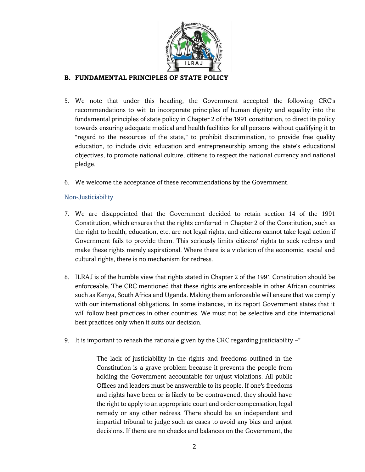

# **B. FUNDAMENTAL PRINCIPLES OF STATE POLICY**

- 5. We note that under this heading, the Government accepted the following CRC's recommendations to wit: to incorporate principles of human dignity and equality into the fundamental principles of state policy in Chapter 2 of the 1991 constitution, to direct its policy towards ensuring adequate medical and health facilities for all persons without qualifying it to "regard to the resources of the state," to prohibit discrimination, to provide free quality education, to include civic education and entrepreneurship among the state's educational objectives, to promote national culture, citizens to respect the national currency and national pledge.
- 6. We welcome the acceptance of these recommendations by the Government.

### Non-Justiciability

- 7. We are disappointed that the Government decided to retain section 14 of the 1991 Constitution, which ensures that the rights conferred in Chapter 2 of the Constitution, such as the right to health, education, etc. are not legal rights, and citizens cannot take legal action if Government fails to provide them. This seriously limits citizens' rights to seek redress and make these rights merely aspirational. Where there is a violation of the economic, social and cultural rights, there is no mechanism for redress.
- 8. ILRAJ is of the humble view that rights stated in Chapter 2 of the 1991 Constitution should be enforceable. The CRC mentioned that these rights are enforceable in other African countries such as Kenya, South Africa and Uganda. Making them enforceable will ensure that we comply with our international obligations. In some instances, in its report Government states that it will follow best practices in other countries. We must not be selective and cite international best practices only when it suits our decision.
- 9. It is important to rehash the rationale given by the CRC regarding justiciability –"

The lack of justiciability in the rights and freedoms outlined in the Constitution is a grave problem because it prevents the people from holding the Government accountable for unjust violations. All public Offices and leaders must be answerable to its people. If one's freedoms and rights have been or is likely to be contravened, they should have the right to apply to an appropriate court and order compensation, legal remedy or any other redress. There should be an independent and impartial tribunal to judge such as cases to avoid any bias and unjust decisions. If there are no checks and balances on the Government, the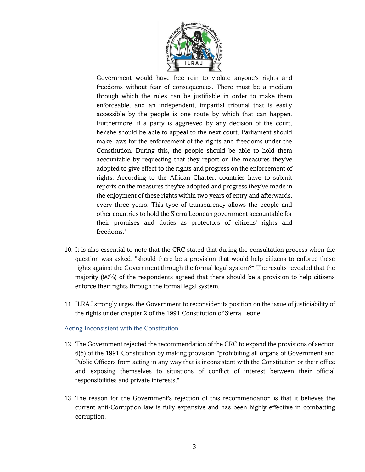

Government would have free rein to violate anyone's rights and freedoms without fear of consequences. There must be a medium through which the rules can be justifiable in order to make them enforceable, and an independent, impartial tribunal that is easily accessible by the people is one route by which that can happen. Furthermore, if a party is aggrieved by any decision of the court, he/she should be able to appeal to the next court. Parliament should make laws for the enforcement of the rights and freedoms under the Constitution. During this, the people should be able to hold them accountable by requesting that they report on the measures they've adopted to give effect to the rights and progress on the enforcement of rights. According to the African Charter, countries have to submit reports on the measures they've adopted and progress they've made in the enjoyment of these rights within two years of entry and afterwards, every three years. This type of transparency allows the people and other countries to hold the Sierra Leonean government accountable for their promises and duties as protectors of citizens' rights and freedoms."

- 10. It is also essential to note that the CRC stated that during the consultation process when the question was asked: "should there be a provision that would help citizens to enforce these rights against the Government through the formal legal system?" The results revealed that the majority (90%) of the respondents agreed that there should be a provision to help citizens enforce their rights through the formal legal system.
- 11. ILRAJ strongly urges the Government to reconsider its position on the issue of justiciability of the rights under chapter 2 of the 1991 Constitution of Sierra Leone.

#### Acting Inconsistent with the Constitution

- 12. The Government rejected the recommendation of the CRC to expand the provisions of section 6(5) of the 1991 Constitution by making provision "prohibiting all organs of Government and Public Officers from acting in any way that is inconsistent with the Constitution or their office and exposing themselves to situations of conflict of interest between their official responsibilities and private interests."
- 13. The reason for the Government's rejection of this recommendation is that it believes the current anti-Corruption law is fully expansive and has been highly effective in combatting corruption.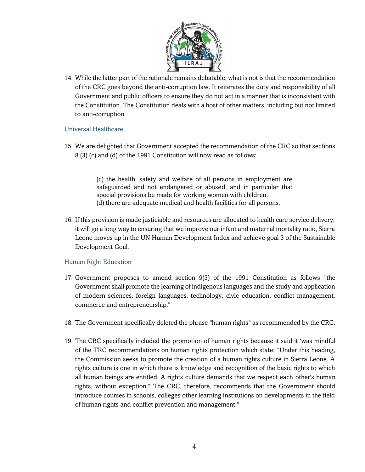

14. While the latter part of the rationale remains debatable, what is not is that the recommendation of the CRC goes beyond the anti-corruption law. It reiterates the duty and responsibility of all Government and public officers to ensure they do not act in a manner that is inconsistent with the Constitution. The Constitution deals with a host of other matters, including but not limited to anti-corruption.

# Universal Healthcare

15. We are delighted that Government accepted the recommendation of the CRC so that sections 8 (3) (c) and (d) of the 1991 Constitution will now read as follows:

> (c) the health, safety and welfare of all persons in employment are safeguarded and not endangered or abused, and in particular that special provisions be made for working women with children; (d) there are adequate medical and health facilities for all persons;

16. If this provision is made justiciable and resources are allocated to health care service delivery, it will go a long way to ensuring that we improve our infant and maternal mortality ratio, Sierra Leone moves up in the UN Human Development Index and achieve goal 3 of the Sustainable Development Goal.

# Human Right Education

- 17. Government proposes to amend section 9(3) of the 1991 Constitution as follows "the Government shall promote the learning of indigenous languages and the study and application of modern sciences, foreign languages, technology, civic education, conflict management, commerce and entrepreneurship."
- 18. The Government specifically deleted the phrase "human rights" as recommended by the CRC.
- 19. The CRC specifically included the promotion of human rights because it said it 'was mindful of the TRC recommendations on human rights protection which state: "Under this heading, the Commission seeks to promote the creation of a human rights culture in Sierra Leone. A rights culture is one in which there is knowledge and recognition of the basic rights to which all human beings are entitled. A rights culture demands that we respect each other's human rights, without exception." The CRC, therefore, recommends that the Government should introduce courses in schools, colleges other learning institutions on developments in the field of human rights and conflict prevention and management."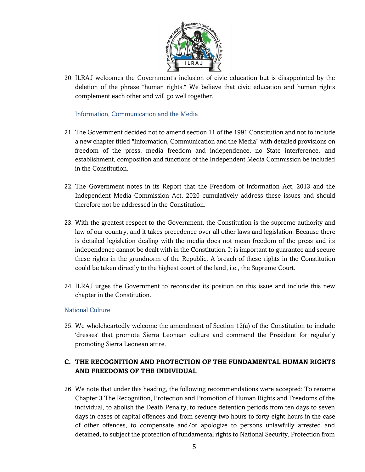

20. ILRAJ welcomes the Government's inclusion of civic education but is disappointed by the deletion of the phrase "human rights." We believe that civic education and human rights complement each other and will go well together.

Information, Communication and the Media

- 21. The Government decided not to amend section 11 of the 1991 Constitution and not to include a new chapter titled "Information, Communication and the Media" with detailed provisions on freedom of the press, media freedom and independence, no State interference, and establishment, composition and functions of the Independent Media Commission be included in the Constitution.
- 22. The Government notes in its Report that the Freedom of Information Act, 2013 and the Independent Media Commission Act, 2020 cumulatively address these issues and should therefore not be addressed in the Constitution.
- 23. With the greatest respect to the Government, the Constitution is the supreme authority and law of our country, and it takes precedence over all other laws and legislation. Because there is detailed legislation dealing with the media does not mean freedom of the press and its independence cannot be dealt with in the Constitution. It is important to guarantee and secure these rights in the grundnorm of the Republic. A breach of these rights in the Constitution could be taken directly to the highest court of the land, i.e., the Supreme Court.
- 24. ILRAJ urges the Government to reconsider its position on this issue and include this new chapter in the Constitution.

# National Culture

25. We wholeheartedly welcome the amendment of Section 12(a) of the Constitution to include 'dresses' that promote Sierra Leonean culture and commend the President for regularly promoting Sierra Leonean attire.

# **C. THE RECOGNITION AND PROTECTION OF THE FUNDAMENTAL HUMAN RIGHTS AND FREEDOMS OF THE INDIVIDUAL**

26. We note that under this heading, the following recommendations were accepted: To rename Chapter 3 The Recognition, Protection and Promotion of Human Rights and Freedoms of the individual, to abolish the Death Penalty, to reduce detention periods from ten days to seven days in cases of capital offences and from seventy-two hours to forty-eight hours in the case of other offences, to compensate and/or apologize to persons unlawfully arrested and detained, to subject the protection of fundamental rights to National Security, Protection from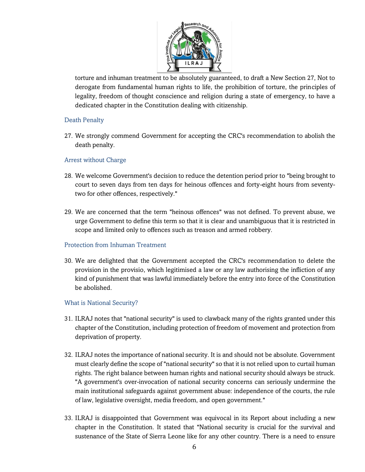

torture and inhuman treatment to be absolutely guaranteed, to draft a New Section 27, Not to derogate from fundamental human rights to life, the prohibition of torture, the principles of legality, freedom of thought conscience and religion during a state of emergency, to have a dedicated chapter in the Constitution dealing with citizenship.

# Death Penalty

27. We strongly commend Government for accepting the CRC's recommendation to abolish the death penalty.

# Arrest without Charge

- 28. We welcome Government's decision to reduce the detention period prior to "being brought to court to seven days from ten days for heinous offences and forty-eight hours from seventytwo for other offences, respectively."
- 29. We are concerned that the term "heinous offences" was not defined. To prevent abuse, we urge Government to define this term so that it is clear and unambiguous that it is restricted in scope and limited only to offences such as treason and armed robbery.

# Protection from Inhuman Treatment

30. We are delighted that the Government accepted the CRC's recommendation to delete the provision in the provisio, which legitimised a law or any law authorising the infliction of any kind of punishment that was lawful immediately before the entry into force of the Constitution be abolished.

# What is National Security?

- 31. ILRAJ notes that "national security" is used to clawback many of the rights granted under this chapter of the Constitution, including protection of freedom of movement and protection from deprivation of property.
- 32. ILRAJ notes the importance of national security. It is and should not be absolute. Government must clearly define the scope of "national security" so that it is not relied upon to curtail human rights. The right balance between human rights and national security should always be struck. "A government's over-invocation of national security concerns can seriously undermine the main institutional safeguards against government abuse: independence of the courts, the rule of law, legislative oversight, media freedom, and open government."
- 33. ILRAJ is disappointed that Government was equivocal in its Report about including a new chapter in the Constitution. It stated that "National security is crucial for the survival and sustenance of the State of Sierra Leone like for any other country. There is a need to ensure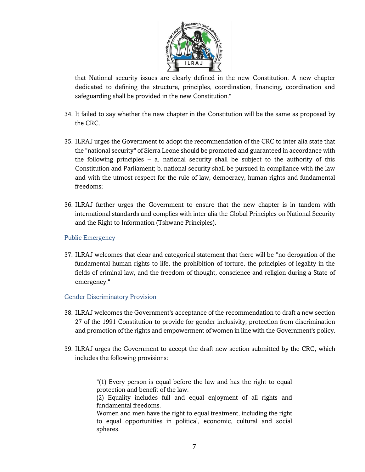

that National security issues are clearly defined in the new Constitution. A new chapter dedicated to defining the structure, principles, coordination, financing, coordination and safeguarding shall be provided in the new Constitution."

- 34. It failed to say whether the new chapter in the Constitution will be the same as proposed by the CRC.
- 35. ILRAJ urges the Government to adopt the recommendation of the CRC to inter alia state that the "national security" of Sierra Leone should be promoted and guaranteed in accordance with the following principles – a. national security shall be subject to the authority of this Constitution and Parliament; b. national security shall be pursued in compliance with the law and with the utmost respect for the rule of law, democracy, human rights and fundamental freedoms;
- 36. ILRAJ further urges the Government to ensure that the new chapter is in tandem with international standards and complies with inter alia the Global Principles on National Security and the Right to Information (Tshwane Principles).

# Public Emergency

37. ILRAJ welcomes that clear and categorical statement that there will be "no derogation of the fundamental human rights to life, the prohibition of torture, the principles of legality in the fields of criminal law, and the freedom of thought, conscience and religion during a State of emergency."

# Gender Discriminatory Provision

- 38. ILRAJ welcomes the Government's acceptance of the recommendation to draft a new section 27 of the 1991 Constitution to provide for gender inclusivity, protection from discrimination and promotion of the rights and empowerment of women in line with the Government's policy.
- 39. ILRAJ urges the Government to accept the draft new section submitted by the CRC, which includes the following provisions:

"(1) Every person is equal before the law and has the right to equal protection and benefit of the law.

(2) Equality includes full and equal enjoyment of all rights and fundamental freedoms.

Women and men have the right to equal treatment, including the right to equal opportunities in political, economic, cultural and social spheres.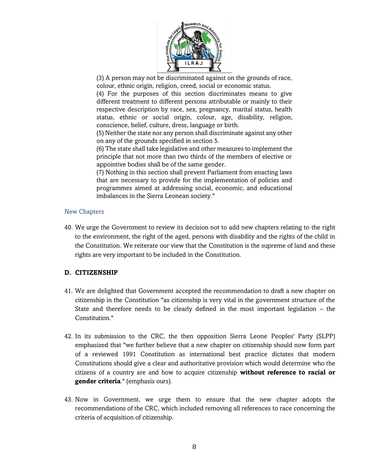

(3) A person may not be discriminated against on the grounds of race, colour, ethnic origin, religion, creed, social or economic status.

(4) For the purposes of this section discriminates means to give different treatment to different persons attributable or mainly to their respective description by race, sex, pregnancy, marital status, health status, ethnic or social origin, colour, age, disability, religion, conscience, belief, culture, dress, language or birth.

(5) Neither the state nor any person shall discriminate against any other on any of the grounds specified in section 5.

(6) The state shall take legislative and other measures to implement the principle that not more than two thirds of the members of elective or appointive bodies shall be of the same gender.

(7) Nothing in this section shall prevent Parliament from enacting laws that are necessary to provide for the implementation of policies and programmes aimed at addressing social, economic, and educational imbalances in the Sierra Leonean society."

# New Chapters

40. We urge the Government to review its decision not to add new chapters relating to the right to the environment, the right of the aged, persons with disability and the rights of the child in the Constitution. We reiterate our view that the Constitution is the supreme of land and these rights are very important to be included in the Constitution.

# **D. CITIZENSHIP**

- 41. We are delighted that Government accepted the recommendation to draft a new chapter on citizenship in the Constitution "as citizenship is very vital in the government structure of the State and therefore needs to be clearly defined in the most important legislation – the Constitution."
- 42. In its submission to the CRC, the then opposition Sierra Leone Peoples' Party (SLPP) emphasized that "we further believe that a new chapter on citizenship should now form part of a reviewed 1991 Constitution as international best practice dictates that modern Constitutions should give a clear and authoritative provision which would determine who the citizens of a country are and how to acquire citizenship **without reference to racial or gender criteria**." (emphasis ours).
- 43. Now in Government, we urge them to ensure that the new chapter adopts the recommendations of the CRC, which included removing all references to race concerning the criteria of acquisition of citizenship.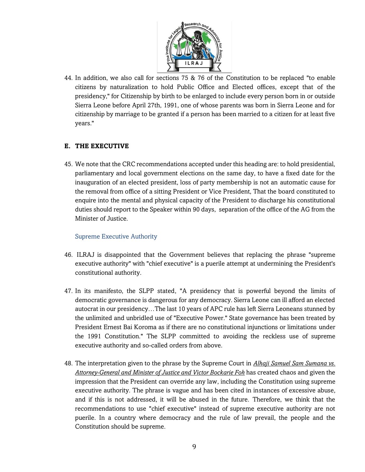

44. In addition, we also call for sections 75 & 76 of the Constitution to be replaced "to enable citizens by naturalization to hold Public Office and Elected offices, except that of the presidency," for Citizenship by birth to be enlarged to include every person born in or outside Sierra Leone before April 27th, 1991, one of whose parents was born in Sierra Leone and for citizenship by marriage to be granted if a person has been married to a citizen for at least five years."

# **E. THE EXECUTIVE**

45. We note that the CRC recommendations accepted under this heading are: to hold presidential, parliamentary and local government elections on the same day, to have a fixed date for the inauguration of an elected president, loss of party membership is not an automatic cause for the removal from office of a sitting President or Vice President, That the board constituted to enquire into the mental and physical capacity of the President to discharge his constitutional duties should report to the Speaker within 90 days, separation of the office of the AG from the Minister of Justice.

# Supreme Executive Authority

- 46. ILRAJ is disappointed that the Government believes that replacing the phrase "supreme executive authority" with "chief executive" is a puerile attempt at undermining the President's constitutional authority.
- 47. In its manifesto, the SLPP stated, "A presidency that is powerful beyond the limits of democratic governance is dangerous for any democracy. Sierra Leone can ill afford an elected autocrat in our presidency…The last 10 years of APC rule has left Sierra Leoneans stunned by the unlimited and unbridled use of "Executive Power." State governance has been treated by President Ernest Bai Koroma as if there are no constitutional injunctions or limitations under the 1991 Constitution." The SLPP committed to avoiding the reckless use of supreme executive authority and so-called orders from above.
- 48. The interpretation given to the phrase by the Supreme Court in *Alhaji Samuel Sam Sumana vs. Attorney-General and Minister of Justice and Victor Bockarie Foh* has created chaos and given the impression that the President can override any law, including the Constitution using supreme executive authority. The phrase is vague and has been cited in instances of excessive abuse, and if this is not addressed, it will be abused in the future. Therefore, we think that the recommendations to use "chief executive" instead of supreme executive authority are not puerile. In a country where democracy and the rule of law prevail, the people and the Constitution should be supreme.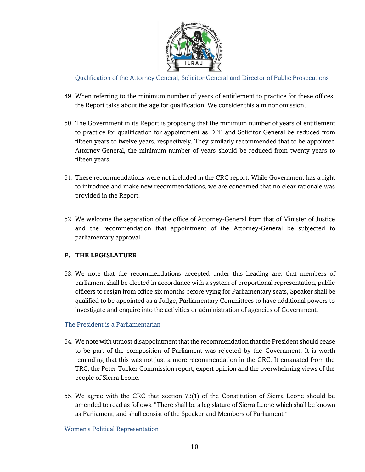

Qualification of the Attorney General, Solicitor General and Director of Public Prosecutions

- 49. When referring to the minimum number of years of entitlement to practice for these offices, the Report talks about the age for qualification. We consider this a minor omission.
- 50. The Government in its Report is proposing that the minimum number of years of entitlement to practice for qualification for appointment as DPP and Solicitor General be reduced from fifteen years to twelve years, respectively. They similarly recommended that to be appointed Attorney-General, the minimum number of years should be reduced from twenty years to fifteen years.
- 51. These recommendations were not included in the CRC report. While Government has a right to introduce and make new recommendations, we are concerned that no clear rationale was provided in the Report.
- 52. We welcome the separation of the office of Attorney-General from that of Minister of Justice and the recommendation that appointment of the Attorney-General be subjected to parliamentary approval.

# **F. THE LEGISLATURE**

53. We note that the recommendations accepted under this heading are: that members of parliament shall be elected in accordance with a system of proportional representation, public officers to resign from office six months before vying for Parliamentary seats, Speaker shall be qualified to be appointed as a Judge, Parliamentary Committees to have additional powers to investigate and enquire into the activities or administration of agencies of Government.

#### The President is a Parliamentarian

- 54. We note with utmost disappointment that the recommendation that the President should cease to be part of the composition of Parliament was rejected by the Government. It is worth reminding that this was not just a mere recommendation in the CRC. It emanated from the TRC, the Peter Tucker Commission report, expert opinion and the overwhelming views of the people of Sierra Leone.
- 55. We agree with the CRC that section 73(1) of the Constitution of Sierra Leone should be amended to read as follows: "There shall be a legislature of Sierra Leone which shall be known as Parliament, and shall consist of the Speaker and Members of Parliament."

#### Women's Political Representation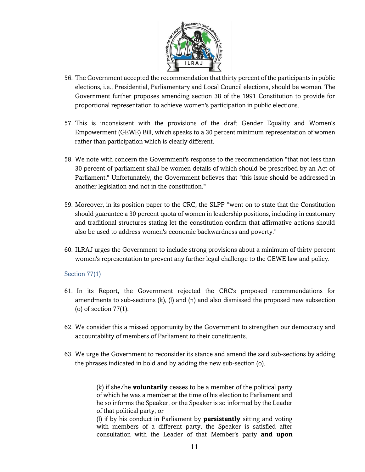

- 56. The Government accepted the recommendation that thirty percent of the participants in public elections, i.e., Presidential, Parliamentary and Local Council elections, should be women. The Government further proposes amending section 38 of the 1991 Constitution to provide for proportional representation to achieve women's participation in public elections.
- 57. This is inconsistent with the provisions of the draft Gender Equality and Women's Empowerment (GEWE) Bill, which speaks to a 30 percent minimum representation of women rather than participation which is clearly different.
- 58. We note with concern the Government's response to the recommendation "that not less than 30 percent of parliament shall be women details of which should be prescribed by an Act of Parliament." Unfortunately, the Government believes that "this issue should be addressed in another legislation and not in the constitution."
- 59. Moreover, in its position paper to the CRC, the SLPP "went on to state that the Constitution should guarantee a 30 percent quota of women in leadership positions, including in customary and traditional structures stating let the constitution confirm that affirmative actions should also be used to address women's economic backwardness and poverty."
- 60. ILRAJ urges the Government to include strong provisions about a minimum of thirty percent women's representation to prevent any further legal challenge to the GEWE law and policy.

# Section 77(1)

- 61. In its Report, the Government rejected the CRC's proposed recommendations for amendments to sub-sections (k), (l) and (n) and also dismissed the proposed new subsection (o) of section 77(1).
- 62. We consider this a missed opportunity by the Government to strengthen our democracy and accountability of members of Parliament to their constituents.
- 63. We urge the Government to reconsider its stance and amend the said sub-sections by adding the phrases indicated in bold and by adding the new sub-section (o).

(k) if she/he **voluntarily** ceases to be a member of the political party of which he was a member at the time of his election to Parliament and he so informs the Speaker, or the Speaker is so informed by the Leader of that political party; or

(l) if by his conduct in Parliament by **persistently** sitting and voting with members of a different party, the Speaker is satisfied after consultation with the Leader of that Member's party **and upon**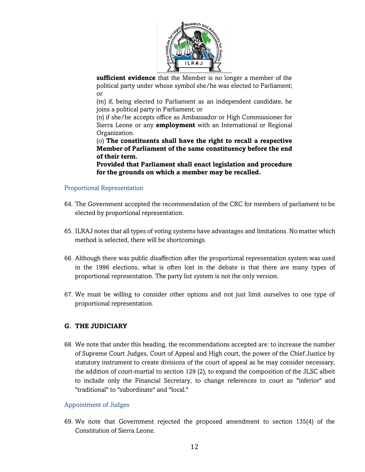

**sufficient evidence** that the Member is no longer a member of the political party under whose symbol she/he was elected to Parliament; or

(m) if, being elected to Parliament as an independent candidate, he joins a political party in Parliament; or

(n) if she/he accepts office as Ambassador or High Commissioner for Sierra Leone or any **employment** with an International or Regional Organization.

(o) **The constituents shall have the right to recall a respective Member of Parliament of the same constituency before the end of their term.**

**Provided that Parliament shall enact legislation and procedure for the grounds on which a member may be recalled.**

### Proportional Representation

- 64. The Government accepted the recommendation of the CRC for members of parliament to be elected by proportional representation.
- 65. ILRAJ notes that all types of voting systems have advantages and limitations. No matter which method is selected, there will be shortcomings.
- 66. Although there was public disaffection after the proportional representation system was used in the 1996 elections, what is often lost in the debate is that there are many types of proportional representation. The party list system is not the only version.
- 67. We must be willing to consider other options and not just limit ourselves to one type of proportional representation.

# **G. THE JUDICIARY**

68. We note that under this heading, the recommendations accepted are: to increase the number of Supreme Court Judges, Court of Appeal and High court, the power of the Chief Justice by statutory instrument to create divisions of the court of appeal as he may consider necessary, the addition of court-martial to section 129 (2), to expand the composition of the JLSC albeit to include only the Financial Secretary, to change references to court as "inferior" and "traditional" to "subordinate" and "local."

#### Appointment of Judges

69. We note that Government rejected the proposed amendment to section 135(4) of the Constitution of Sierra Leone.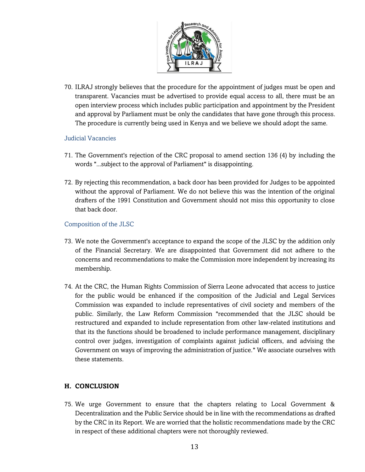

70. ILRAJ strongly believes that the procedure for the appointment of judges must be open and transparent. Vacancies must be advertised to provide equal access to all, there must be an open interview process which includes public participation and appointment by the President and approval by Parliament must be only the candidates that have gone through this process. The procedure is currently being used in Kenya and we believe we should adopt the same.

### Judicial Vacancies

- 71. The Government's rejection of the CRC proposal to amend section 136 (4) by including the words "...subject to the approval of Parliament" is disappointing.
- 72. By rejecting this recommendation, a back door has been provided for Judges to be appointed without the approval of Parliament. We do not believe this was the intention of the original drafters of the 1991 Constitution and Government should not miss this opportunity to close that back door.

# Composition of the JLSC

- 73. We note the Government's acceptance to expand the scope of the JLSC by the addition only of the Financial Secretary. We are disappointed that Government did not adhere to the concerns and recommendations to make the Commission more independent by increasing its membership.
- 74. At the CRC, the Human Rights Commission of Sierra Leone advocated that access to justice for the public would be enhanced if the composition of the Judicial and Legal Services Commission was expanded to include representatives of civil society and members of the public. Similarly, the Law Reform Commission "recommended that the JLSC should be restructured and expanded to include representation from other law-related institutions and that its the functions should be broadened to include performance management, disciplinary control over judges, investigation of complaints against judicial officers, and advising the Government on ways of improving the administration of justice." We associate ourselves with these statements.

# **H. CONCLUSION**

75. We urge Government to ensure that the chapters relating to Local Government & Decentralization and the Public Service should be in line with the recommendations as drafted by the CRC in its Report. We are worried that the holistic recommendations made by the CRC in respect of these additional chapters were not thoroughly reviewed.